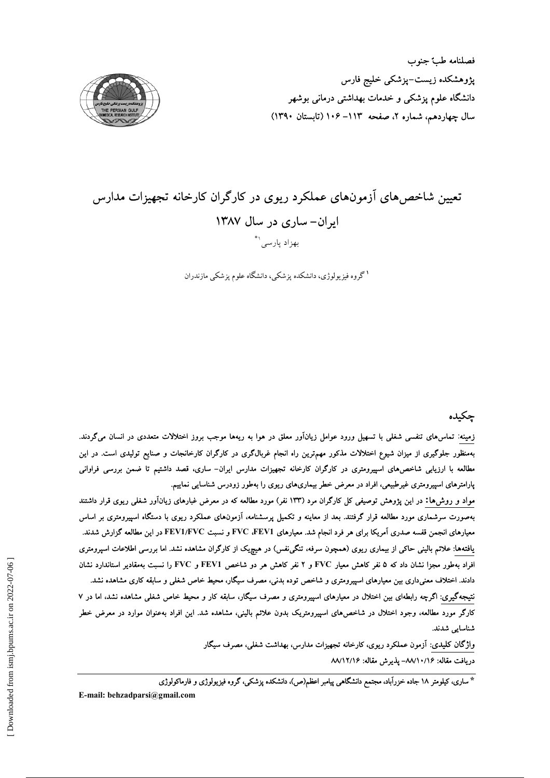

# تعیین شاخص های آزمونهای عملکرد ریوی در کارگران کارخانه تجهیزات مدارس ایران- ساری در سال ۱۳۸۷ بهزاد پارسی'\*

<sup>۱</sup>گروه فیزیولوژی، دانشکده پزشکی، دانشگاه علوم پزشکی مازندران

# چکیده

زمینه: تماس۵ای تنفسی شغلی با تسهیل ورود عوامل زیانآور معلق در هوا به ریهها موجب بروز اختلالات متعددی در انسان میگردند. بهمنظور جلوگیری از میزان شیوع اختلالات مذکور مهم;ترین راه انجام غربالگری در کارگران کارخانجات و صنایع تولیدی است. در این مطالعه با ارزیابی شاخص،های اسپیرومتری در کارگران کارخانه تجهیزات مدارس ایران– ساری، قصد داشتیم تا ضمن بررسی فراوانی پارامترهای اسپیرومتری غیرطبیعی، افراد در معرض خطر بیماریهای ریوی را بهطور زودرس شناسایی نماییم.

مواد و روش۵ا: در این پژوهش توصیفی کل کارگران مرد (۱۳۳ نفر) مورد مطالعه که در معرض غبارهای زیانآور شغلی ریوی قرار داشتند بهصورت سرشماری مورد مطالعه قرار گرفتند. بعد از معاینه و تکمیل پرسشنامه، آزمونهای عملکرد ریوی با دستگاه اسپیرومتری بر اساس معیارهای انجمن قفسه صدری آمریکا برای هر فرد انجام شد. معیارهای FVC ،FEV1 و نسبت FEV1/FVC در این مطالعه گزارش شدند. یافتهها: علائم بالینی حاکی از بیماری ریوی (همچون سرفه، تنگینفس) در هیچیک از کارگران مشاهده نشد. اما بررسی اطلاعات اسپرومتری افراد بهطور مجزا نشان داد که ۵ نفر کاهش معیار FVC و ۲ نفر کاهش هر دو شاخص FEV1 و FVC را نسبت بهمقادیر استاندارد نشان دادند. اختلاف معنیداری بین معیارهای اسپیرومتری و شاخص توده بدنی، مصرف سیگار، محیط خاص شغلی و سابقه کاری مشاهده نشد.

نتیجهگیری: اگرچه رابطهای بین اختلال در معیارهای اسپیرومتری و مصرف سیگار، سابقه کار و محیط خاص شغلی مشاهده نشد، اما در ۷ کارگر مورد مطالعه، وجود اختلال در شاخصهای اسپیرومتریک بدون علائم بالینی، مشاهده شد. این افراد بهعنوان موارد در معرض خطر شناسایی شدند.

> واژگان کلیدی: آزمون عملکرد ریوی، کارخانه تجهیزات مدارس، بهداشت شغلی، مصرف سیگار دريافت مقاله: ١٤/١٠/١٠/٨ يذيرش مقاله: ١٨/١٢/١۶

\* ساری، کیلومتر ۱۸ جاده خزرآباد، مجتمع دانشگاهی پیامبر اعظم(ص)، دانشکده پزشکی، گروه فیزیولوژی و فارماکولوژی

E-mail: behzadparsi@gmail.com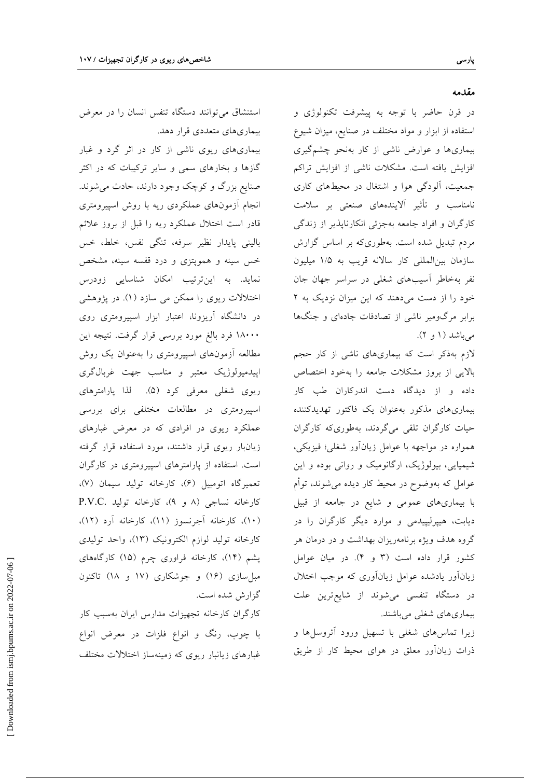بیماریهای متعددی قرار دهد. بیماریهای ریوی ناشی از کار در اثر گرد و غبار گازها و بخارهای سمی و سایر ترکیبات که در اکثر صنایع بزرگ و کوچک وجود دارند، حادث می شوند. انجام أزمونهای عملکردی ریه با روش اسپیرومتری قادر است اختلال عملکرد ریه را قبل از بروز علائم باليني پايدار نظير سرفه، تنگي نفس، خلط، خس خس سینه و همویتزی و درد قفسه سینه، مشخص نماید. به اینترتیب امکان شناسایی زودرس اختلالات ریوی را ممکن می سازد (۱). در پژوهشی در دانشگاه آریزونا، اعتبار ابزار اسپیرومتری روی ۱۸۰۰۰ فرد بالغ مورد بررسی قرار گرفت. نتیجه این مطالعه آزمونهای اسپیرومتری را بهعنوان یک روش اپیدمیولوژیک معتبر و مناسب جهت غربالگری ريوي شغلي معرفي كرد (۵). لذا پارامترهاي اسپیرومتری در مطالعات مختلفی برای بررسی عملکرد ریوی در افرادی که در معرض غبارهای زیانبار ریوی قرار داشتند، مورد استفاده قرار گرفته است. استفاده از پارامترهای اسپیرومتری در کارگران تعميرگاه اتومبيل (٤)، كارخانه توليد سيمان (٧)، کارخانه نساجی (۸ و ۹)، کارخانه تولید .P.V.C (۱۰)، كارخانه آجرنسوز (۱۱)، كارخانه آرد (۱۲)، كارخانه توليد لوازم الكترونيك (١٣)، واحد توليدي یشم (۱۴)، کارخانه فراوری چرم (۱۵) کارگاههای مبل سازی (۱۶) و جوشکاری (۱۷ و ۱۸) تاکنون گزارش شده است.

کارگران کارخانه تجهیزات مدارس ایران بهسبب کار با چوب، رنگ و انواع فلزات در معرض انواع غبارهای زیانبار ریوی که زمینهساز اختلالات مختلف

# استنشاق می توانند دستگاه تنفس انسان را در معرض

در قرن حاضر با توجه به پیشرفت تکنولوژی و استفاده از ابزار و مواد مختلف در صنایع، میزان شیوع بیماریها و عوارض ناشی از کار بهنحو چشمگیری افزایش یافته است. مشکلات ناشی از افزایش تراکم جمعیت، آلودگی هوا و اشتغال در محیطهای کاری نامناسب و تأثير آلايندههاي صنعتي بر سلامت کارگران و افراد جامعه بهجزئی انکارناپذیر از زندگی مردم تبدیل شده است. بهطوری که بر اساس گزارش سازمان بين المللي كار سالانه قريب به ١/٥ ميليون نفر بهخاطر آسیبهای شغلی در سراسر جهان جان خود را از دست می دهند که این میزان نزدیک به ۲ برابر مرگومیر ناشی از تصادفات جادهای و جنگها می باشد (۱ و ۲).

لازم بهذکر است که بیماریهای ناشی از کار حجم بالایی از بروز مشکلات جامعه را بهخود اختصاص داده و از دیدگاه دست اندرکاران طب کار بیماریهای مذکور بهعنوان یک فاکتور تهدیدکننده حیات کارگران تلقی میگردند، بهطوریکه کارگران همواره در مواجهه با عوامل زیانآور شغلی؛ فیزیکی، شیمیایی، بیولوژیک، ارگانومیک و روانی بوده و این عوامل که بهوضوح در محیط کار دیده می شوند، توأم با بیماریهای عمومی و شایع در جامعه از قبیل دیابت، هیپرلیپیدمی و موارد دیگر کارگران را در گروه هدف ویژه برنامهریزان بهداشت و در درمان هر کشور قرار داده است (٣ و ۴). در میان عوامل زیان آور یادشده عوامل زیان آوری که موجب اختلال در دستگاه تنفسی میشوند از شایعترین علت بیماریهای شغلبی میباشند.

زیرا تماسهای شغلی با تسهیل ورود أئروسلها و ذرات زیانآور معلق در هوای محیط کار از طریق

پارسی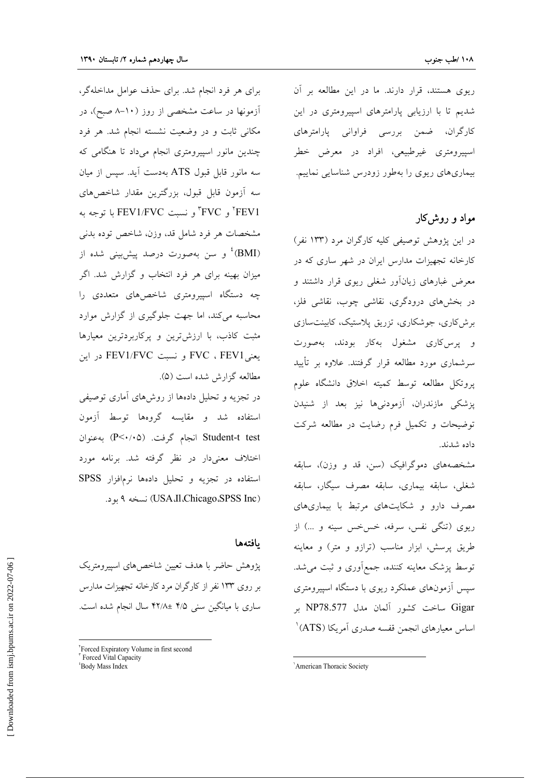ریوی هستند، قرار دارند. ما در این مطالعه بر آن شدیم تا با ارزیابی پارامترهای اسپیرومتری در این کارگران، ضمن بررسی فراوانی پارامترهای اسپیرومتری غیرطبیعی، افراد در معرض خطر بیماریهای ریوی را بهطور زودرس شناسایی نماییم.

مواد و روش کار

در این پژوهش توصیفی کلیه کارگران مرد (۱۳۳ نفر) کارخانه تجهیزات مدارس ایران در شهر ساری که در معرض غبارهای زیانآور شغلی ریوی قرار داشتند و در بخشهای درودگری، نقاشی چوب، نقاشی فلز، برش کاری، جوشکاری، تزریق پلاستیک، کابینتسازی و پرس کاری مشغول بهکار بودند، بهصورت سرشماری مورد مطالعه قرار گرفتند. علاوه بر تأیید یروتکل مطالعه توسط کمیته اخلاق دانشگاه علوم پزشکی مازندران، آزمودنیها نیز بعد از شنیدن توضیحات و تکمیل فرم رضایت در مطالعه شرکت داده شدند.

مشخصههای دموگرافیک (سن، قد و وزن)، سابقه شغلی، سابقه بیماری، سابقه مصرف سیگار، سابقه مصرف دارو و شکایتهای مرتبط با بیماریهای ریوی (تنگی نفس، سرفه، خسخس سینه و …) از طریق پرسش، ابزار مناسب (ترازو و متر) و معاینه توسط پزشک معاینه کننده، جمعأوری و ثبت می شد. سپس آزمونهای عملکرد ریوی با دستگاه اسپیرومتری Gigar ساخت كشور آلمان مدل NP78.577 بر اساس معیارهای انجمن قفسه صدری آمریکا (ATS)<sup>۱</sup>

برای هر فرد انجام شد. برای حذف عوامل مداخلهگر، آزمونها در ساعت مشخصی از روز (۱۰–۸ صبح)، در مکانی ثابت و در وضعیت نشسته انجام شد. هر فرد چندین مانور اسپیرومتری انجام میداد تا هنگامی که سه مانور قابل قبول ATS بهدست آید. سیس از میان سه آزمون قابل قبول، بزرگترین مقدار شاخصهای FEV1 "و تسبت FEV1/FVC با توجه به مشخصات هر فرد شامل قد، وزن، شاخص توده بدنبي (BMI)<sup>،</sup> و سن بهصورت درصد پیش بینی شده از میزان بهینه برای هر فرد انتخاب و گزارش شد. اگر چه دستگاه اسپیرومتری شاخصهای متعددی را محاسبه می کند، اما جهت جلوگیری از گزارش موارد مثبت کاذب، با ارزش ترین و پرکاربردترین معیارها يعنيFVC ، FEV1 و نسبت FEV1/FVC در اين مطالعه گزارش شده است (۵).

در تجزیه و تحلیل دادهها از روشهای آماری توصیفی استفاده شد و مقایسه گروهها توسط آزمون Student-t test انجام گرفت. (P<۰/۰۵) به عنوان اختلاف معنیدار در نظر گرفته شد. برنامه مورد استفاده در تجزیه و تحلیل دادهها نرمافزار SPSS (USA،Il،Chicago،SPSS Inc) نسخه ۹ بود.

#### بافتهها

پژوهش حاضر با هدف تعیین شاخصهای اسپیرومتریک بر روی ۱۳۳ نفر از کارگران مرد کارخانه تجهیزات مدارس ساری با میانگین سنی ۴/۵ ±۴۲/۸ سال انجام شده است.

<sup>&#</sup>x27;American Thoracic Society

<sup>&#</sup>x27;Forced Expiratory Volume in first second

Forced Vital Capacity <sup>*'*Body Mass Index</sup>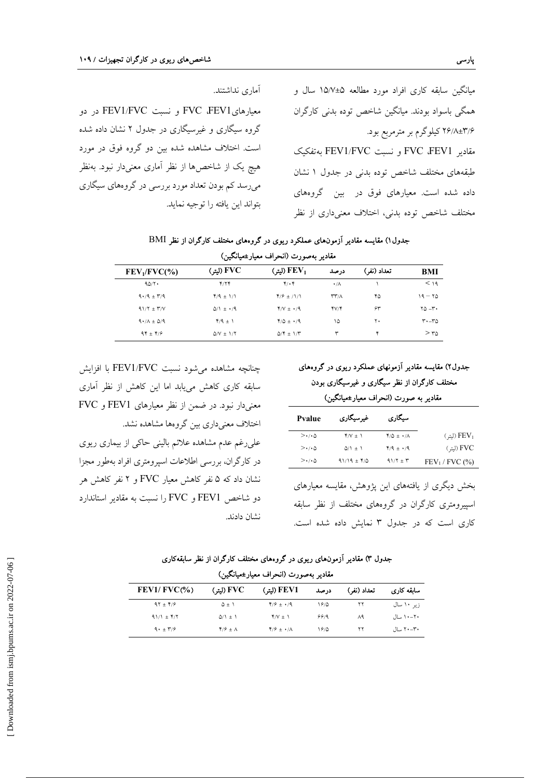میانگین سابقه کاری افراد مورد مطالعه ۵±۱۵/۷ سال و همگی باسواد بودند. میانگین شاخص توده بدنی کارگران ۲۶/۸±۳/۶ کیلوگرم بر مترمربع بود. مقادير FVC ،FEV1 و نسبت FEV1/FVC بهتفكيك طبقههای مختلف شاخص توده بدنی در جدول ۱ نشان داده شده است. معیارهای فوق در بین گروههای مختلف شاخص توده بدنی، اختلاف معنیداری از نظر

آماري نداشتند. معیارهایFVC ،FEV1 و نسبت FEV1/FVC در دو گروه سیگاری و غیرسیگاری در جدول ۲ نشان داده شده است. اختلاف مشاهده شده بین دو گروه فوق در مورد هیچ یک از شاخصها از نظر آماری معنیدار نبود. بهنظر میرسد کم بودن تعداد مورد بررسی در گروههای سیگاری بتواند اين يافته را توجيه نمايد.

#### جدول ۱) مقایسه مقادیر آزمونهای عملکرد ریوی در گروههای مختلف کارگران از نظر BMI

| مقادیر بهصورت (انحراف معیار±میانگین) |                                   |                         |                                   |             |             |
|--------------------------------------|-----------------------------------|-------------------------|-----------------------------------|-------------|-------------|
| FEV <sub>1</sub> /FVC(%)             | (ليتر) FVC                        | (ليتر) FEV <sub>1</sub> | درصد                              | تعداد (نفر) | BMI         |
| 90/1                                 | Y/YY                              | $Y \cdot Y$             | $\cdot/\Lambda$                   |             | < 19        |
| $9.79 \pm 7.9$                       | $Y/9$ $\pm$ 1/1                   | $Y/9$ ± /1/1            | $\mathsf{r}\mathsf{r}$ / $\wedge$ | ۴۵          | $19 - 70$   |
| $91/7 \pm 7/7$                       | $\Delta/\lambda$ $\pm$ $\cdot$ /9 | $Y/V \pm 1.4$           | YV/F                              | ۶۳          | $Y_0 - Y_1$ |
| $9.7\lambda \pm 0.09$                | $Y/9$ $\pm$ 1                     | $4/0 \pm 1/9$           | ۱۵                                | ٢٠          | $r - r_0$   |
| $94 \pm 19$                          | $\Delta/V \pm 1/Y$                | $\Delta/f \pm 1/T$      | ٣                                 | ۴           | $> r_0$     |

چنانچه مشاهده می شود نسبت FEV1/FVC با افزایش سابقه کاری کاهش می پابد اما این کاهش از نظر آماری معنیدار نبود. در ضمن از نظر معیارهای FEV1 و FVC اختلاف معنىدارى بين گروهها مشاهده نشد.

علی رغم عدم مشاهده علائم بالینی حاکی از بیماری ریوی در كارگران، بررسي اطلاعات اسيرومتري افراد بهطور مجزا نشان داد که ۵ نفر کاهش معیار FVC و ۲ نفر کاهش هر دو شاخص FEV1 و FVC را نسبت به مقادیر استاندارد نشان دادند.

جدول۲) مقایسه مقادیر آزمونهای عملکرد ریوی در گروههای مختلف کارگران از نظر سیگاری و غیرسیگاری بودن مقادیر به صورت (انحراف معیار±میانگین)

| <b>Pyalue</b>         | غیر سیگار <i>ی</i> | سیگاری                       |                            |
|-----------------------|--------------------|------------------------------|----------------------------|
| $>\cdot$ / $\circ$    | $Y/V \pm 1$        | $Y/\Delta \pm \cdot/\Lambda$ | $(L_{\overline{u}}) FEV_1$ |
| $>\cdot/\cdot \Delta$ | $\Delta/1$ $\pm$ 1 | $Y/9$ $\pm$ $\cdot$ /9       | (ليتر) FVC                 |
| $>\cdot$ / $\circ$    | $91/19 \pm 1/0$    | $91/7 \pm 7$                 | $FEV1$ / FVC $(\%$ )       |

بخش دیگری از یافتههای این پژوهش، مقایسه معیارهای اسپیرومتری کارگران در گروههای مختلف از نظر سابقه کاری است که در جدول ۳ نمایش داده شده است.

| جدول ۳) مقادیر آزمونهای ریوی در گروههای مختلف کارگران از نظر سابقهکاری |  |  |  |
|------------------------------------------------------------------------|--|--|--|

| مقادير بەصورت (انحراف معيار±ميانگين) |                         |                               |      |             |            |  |
|--------------------------------------|-------------------------|-------------------------------|------|-------------|------------|--|
| $FEV1/ FVC$ (%)                      | (لتة) FVC               | FEV1 (ليتر)                   | درصد | تعداد (نفر) | سابقه کاری |  |
| $97 \pm 19$                          | $\Delta \pm 1$          | $Y/\hat{z} \pm \cdot$ /9      | 1810 | ۲۲          | زیر ۱۰ سال |  |
| $91/1 \pm 1/7$                       | $\Delta/1$ $\pm$ 1      | $Y/V \pm 1$                   | 99/9 | $\Lambda$ ٩ | ۲۰–۱۰ سال  |  |
| $9.1 + 17/9$                         | $Y/\hat{Y} \pm \Lambda$ | $Y/\hat{Y} \pm \cdot/\Lambda$ | 1810 | ۲۲          | ۲۰–۲۰ سال  |  |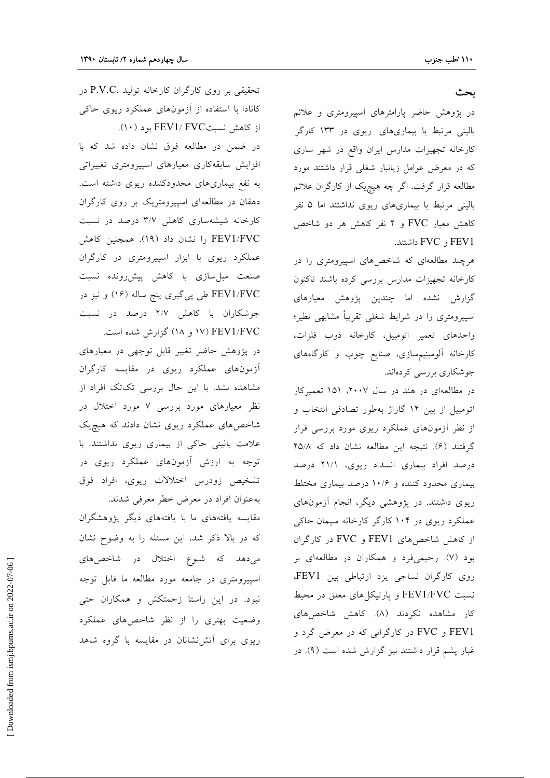#### بحث

در پژوهش حاضر پارامترهای اسپیرومتری و علائم بالینی مرتبط با بیماریهای ریوی در ۱۳۳ کارگر کارخانه تجهیزات مدارس ایران واقع در شهر ساری که در معرض عوامل زیانبار شغلی قرار داشتند مورد مطالعه قرار گرفت. اگر چه هیچیک از کارگران علائم بالینی مرتبط با بیماریهای ریوی نداشتند اما ۵ نفر کاهش معیار FVC و ۲ نفر کاهش هر دو شاخص FEV1 و FVC داشتند.

هرچند مطالعهای که شاخصهای اسپیرومتری را در كارخانه تجهيزات مدارس بررسي كرده باشند تاكنون گزارش نشده اما چندین پژوهش معیارهای اسپیرومتری را در شرایط شغلی تقریباً مشابهی نظیر؛ واحدهاى تعمير اتومبيل، كارخانه ذوب فلزات، کارخانه آلومینیمسازی، صنایع چوب و کارگاههای جوشکاری بررسی کردهاند.

در مطالعهای در هند در سال ۲۰۰۷، ۱۵۱ تعمیرکار اتومبیل از بین ۱۴ گاراژ بهطور تصادفی انتخاب و از نظر اّزمونهای عملکرد ریوی مورد بررسی قرار گرفتند (۶). نتيجه اين مطالعه نشان داد كه ۲۵/۸ درصد افراد بیماری انسداد ریوی، ۲۱/۱ درصد بیماری محدود کننده و ۱۰/۶ درصد بیماری مختلط ریوی داشتند. در پژوهشی دیگر، انجام آزمونهای عملکرد ریوی در ۱۰۴ کارگر کارخانه سیمان حاکی از کاهش شاخصهای FEV1 و FVC در کارگران بود (۷). رحیمیفرد و همکاران در مطالعهای بر روی کارگران نساجی یزد ارتباطی بین FEV1، نسبت FEV1/FVC و پارتیکل های معلق در محیط کار مشاهده نکردند (۸). کاهش شاخصهای FEV1 و FVC در کارگرانی که در معرض گرد و غبار پشم قرار داشتند نیز گزارش شده است (۹). در

تحقیقی بر روی کارگران کارخانه تولید .P.V.C در کانادا با استفاده از آزمونهای عملکرد ریوی حاکی از کاهش نسبتFEV1/ FVC بود (١٠).

در ضمن در مطالعه فوق نشان داده شد که با افزایش سابقهکاری معیارهای اسپیرومتری تغییراتی به نفع بیماریهای محدودکننده ریوی داشته است. دهقان در مطالعهای اسپیرومتریک بر روی کارگران کارخانه شیشهسازی کاهش ۳/۷ درصد در نسبت FEV1/FVC را نشان داد (۱۹). همچنین کاهش عملکرد ریوی با ابزار اسپیرومتری در کارگران صنعت مبل-ازی با کاهش پیشررونده نسبت FEV1/FVC طی پی گیری پنج ساله (۱۶) و نیز در جوشکاران با کاهش ۲/۷ درصد در نسبت ۱۷) FEV1/FVC و ۱۸) گزارش شده است.

در پژوهش حاضر تغییر قابل توجهی در معیارهای آزمونهای عملکرد ریوی در مقایسه کارگران مشاهده نشد. با این حال بررسی تکتک افراد از نظر معیارهای مورد بررسی ۷ مورد اختلال در شاخصهای عملکرد ریوی نشان دادند که هیچیک علامت بالینی حاکی از بیماری ریوی نداشتند. با توجه به ارزش آزمونهای عملکرد ریوی در تشخیص زودرس اختلالات ریوی، افراد فوق به عنوان افراد در معرض خطر معرفی شدند.

مقایسه یافتههای ما با یافتههای دیگر پژوهشگران که در بالا ذکر شد، این مسئله را به وضوح نشان می دهد که شیوع اختلال در شاخصهای اسپیرومتری در جامعه مورد مطالعه ما قابل توجه نبود. در این راستا زحمتکش و همکاران حتی وضعیت بهتری را از نظر شاخصهای عملکرد ریوی برای آتش نشانان در مقایسه با گروه شاهد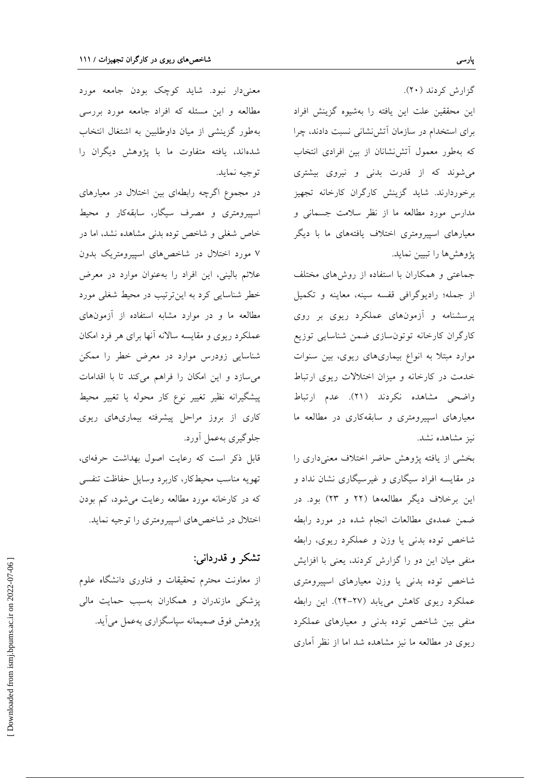گزارش کردند (۲۰). این محققین علت این یافته را بهشیوه گزینش افراد برای استخدام در سازمان آتش نشانی نسبت دادند، چرا که بهطور معمول آتش نشانان از بین افرادی انتخاب می شوند که از قدرت بدنی و نیروی بیشتری برخوردارند. شاید گزینش کارگران کارخانه تجهیز مدارس مورد مطالعه ما از نظر سلامت جسمانی و معیارهای اسپیرومتری اختلاف یافتههای ما با دیگر پژوهشها را تبيين نمايد.

جماعتی و همکاران با استفاده از روشهای مختلف از جمله؛ راديوگرافي قفسه سينه، معاينه و تكميل پرسشنامه و آزمونهای عملکرد ریوی بر روی کارگران کارخانه توتونسازی ضمن شناسایی توزیع موارد مبتلا به انواع بیماریهای ریوی، بین سنوات خدمت در کارخانه و میزان اختلالات ریوی ارتباط واضحى مشاهده نكردند (٢١). عدم ارتباط معیارهای اسپیرومتری و سابقهکاری در مطالعه ما نيز مشاهده نشد.

بخشی از یافته پژوهش حاضر اختلاف معنیداری را در مقایسه افراد سیگاری و غیرسیگاری نشان نداد و این برخلاف دیگر مطالعهها (۲۲ و ۲۳) بود. در ضمن عمدهى مطالعات انجام شده در مورد رابطه شاخص توده بدنی یا وزن و عملکرد ریوی، رابطه منفی میان این دو را گزارش کردند، یعنی با افزایش شاخص توده بدنی یا وزن معیارهای اسپیرومتری عملکرد ریوی کاهش می یابد (۲۷-۲۴). این رابطه منفی بین شاخص توده بدنی و معیارهای عملکرد ریوی در مطالعه ما نیز مشاهده شد اما از نظر آماری

معنیدار نبود. شاید کوچک بودن جامعه مورد مطالعه و این مسئله که افراد جامعه مورد بررسی بهطور گزینشی از میان داوطلبین به اشتغال انتخاب شدهاند، یافته متفاوت ما با پژوهش دیگران را توجيه نمايد.

در مجموع اگرچه رابطهای بین اختلال در معیارهای اسپیرومتری و مصرف سیگار، سابقهکار و محیط خاص شغلی و شاخص توده بدنی مشاهده نشد، اما در ۷ مورد اختلال در شاخص های اسپیرومتریک بدون علائم بالینی، این افراد را بهعنوان موارد در معرض خطر شناسایی کرد به اینترتیب در محیط شغلی مورد مطالعه ما و در موارد مشابه استفاده از آزمونهای عملکرد ریوی و مقایسه سالانه آنها برای هر فرد امکان شناسایی زودرس موارد در معرض خطر را ممکن می سازد و این امکان را فراهم میکند تا با اقدامات پیشگیرانه نظیر تغییر نوع کار محوله یا تغییر محیط کاری از بروز مراحل پیشرفته بیماریهای ریوی جلوگیری بهعمل آورد.

قابل ذکر است که رعایت اصول بهداشت حرفهای، تهويه مناسب محيطكار، كاربرد وسايل حفاظت تنفسي که در کارخانه مورد مطالعه رعایت می شود، کم بودن اختلال در شاخصهای اسپیرومتری را توجیه نماید.

## تشکر و قدردانی:

از معاونت محترم تحقیقات و فناوری دانشگاه علوم پزشکی مازندران و همکاران بهسبب حمایت مالی يژوهش فوق صميمانه سياسگزاري بهعمل مي آيد.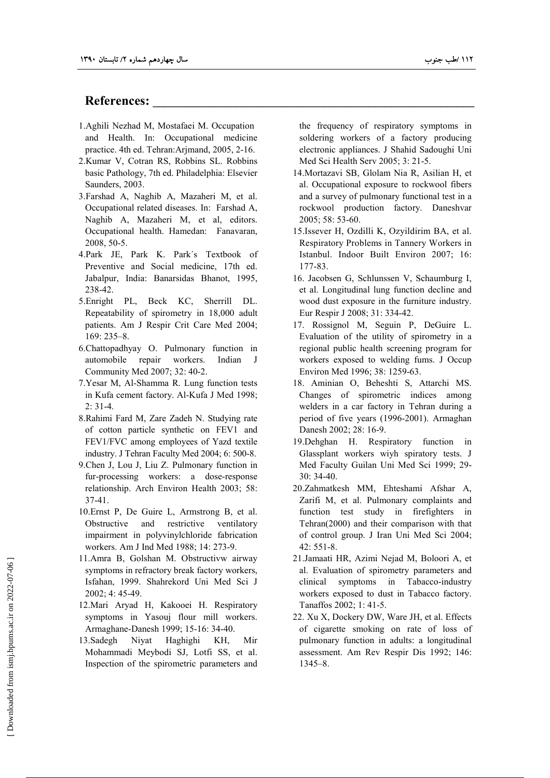### References:

- 1.Aghili Nezhad M, Mostafaei M. Occupation and Health. In: Occupational medicine practice. 4th ed. Tehran:Arjmand, 2005, 2-16.
- 2.Kumar V, Cotran RS, Robbins SL. Robbins basic Pathology , 7th ed. Philadelphia: Elsevier Saunders, 2003.
- 3.Farshad A, Naghib A, Mazaheri M, et al. Occupational related diseases. In: Farshad A, Naghib A, Mazaheri M, et al, editors. Occupational health. Hamedan: Fanavaran, 2008, 50-5.
- 4.Park JE, Park K. Park´s Textbook of Preventive and Social medicine, 17th ed. Jabalpur, India: Banarsidas Bhanot, 1995, 238-42.
- 5.Enright PL, Beck KC, Sherrill DL. Repeatability of spirometry in 18,000 adult patients. Am J Respir Crit Care Med 2004; 169: 235–8.
- 6.Chattopadhyay O. Pulmonary function in automobile repair workers. Indian J Community Med 2007; 32: 40-2.
- 7.Yesar M, Al-Shamma R. Lung function tests in Kufa cement factory. Al-Kufa J Med 1998; 2: 31-4.
- 8.Rahimi Fard M, Zare Zadeh N. Studying rate of cotton particle synthetic on FEV1 and FEV1/FVC among employees of Yazd textile industry. J Tehran Faculty Med 2004; 6: 500-8.
- 9.Chen J, Lou J, Liu Z. Pulmonary function in fur-processing workers: a dose-response relationship. Arch Environ Health 2003; 58: 37-41.
- 10.Ernst P, De Guire L, Armstrong B, et al. Obstructive and restrictive ventilatory impairment in polyvinylchloride fabrication workers. Am J Ind Med 1988; 14: 273-9.
- 11.Amra B, Golshan M. Obstructivw airway symptoms in refractory break factory workers, Isfahan, 1999. Shahrekord Uni Med Sci J 2002; 4: 45-49.
- 12.Mari Aryad H, Kakooei H. Respiratory symptoms in Yasouj flour mill workers. Armaghane-Danesh 1999; 15-16: 34-40.
- 13.Sadegh Niyat Haghighi KH, Mir Mohammadi Meybodi SJ, Lotfi SS, et al. Inspection of the spirometric parameters and

the frequency of respiratory symptoms in soldering workers of a factory producing electronic appliances. J Shahid Sadoughi Uni Med Sci Health Serv 2005; 3: 21-5.

- 14.Mortazavi SB, Glolam Nia R, Asilian H, et al. Occupational exposure to rockwool fibers and a survey of pulmonary functional test in a rockwool production factory. Daneshvar 2005; 58: 53-60.
- 15.Issever H, Ozdilli K, Ozyildirim BA, et al. Respiratory Problems in Tannery Workers in Istanbul. Indoor Built Environ 2007; 16: 177-83.
- 16. Jacobsen G, Schlunssen V, Schaumburg I, et al. Longitudinal lung function decline and wood dust exposure in the furniture industry. Eur Respir J 2008; 31: 334-42.
- 17. Rossignol M, Seguin P, DeGuire L. Evaluation of the utility of spirometry in a regional public health screening program for workers exposed to welding fums. J Occup Environ Med 1996; 38: 1259-63.
- 18. Aminian O, Beheshti S, Attarchi MS. Changes of spirometric indices among welders in a car factory in Tehran during a period of five years (1996-2001). Armaghan Danesh 2002; 28: 16-9.
- 19.Dehghan H. Respiratory function in Glassplant workers wiyh spiratory tests. J Med Faculty Guilan Uni Med Sci 1999; 29- 30: 34-40.
- 20.Zahmatkesh MM, Ehteshami Afshar A, Zarifi M, et al. Pulmonary complaints and function test study in firefighters in Tehran(2000) and their comparison with that of control group. J Iran Uni Med Sci 2004; 42: 551-8.
- 21.Jamaati HR, Azimi Nejad M, Boloori A, et al. Evaluation of spirometry parameters and clinical symptoms in Tabacco-industry workers exposed to dust in Tabacco factory. Tanaffos 2002; 1: 41-5.
- 22. Xu X, Dockery DW, Ware JH, et al. Effects of cigarette smoking on rate of loss of pulmonary function in adults: a longitudinal assessment. Am Rev Respir Dis 1992; 146: 1345–8.